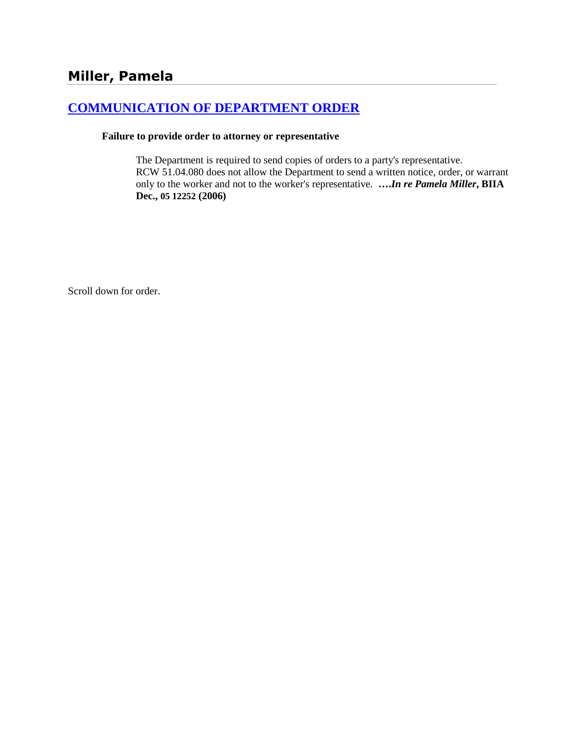# **[COMMUNICATION OF DEPARTMENT ORDER](http://www.biia.wa.gov/SDSubjectIndex.html#COMMUNICATION_OF_DEPARTMENT_ORDER)**

#### **Failure to provide order to attorney or representative**

The Department is required to send copies of orders to a party's representative. RCW 51.04.080 does not allow the Department to send a written notice, order, or warrant only to the worker and not to the worker's representative. **….***In re Pamela Miller***, BIIA Dec., 05 12252 (2006)**

Scroll down for order.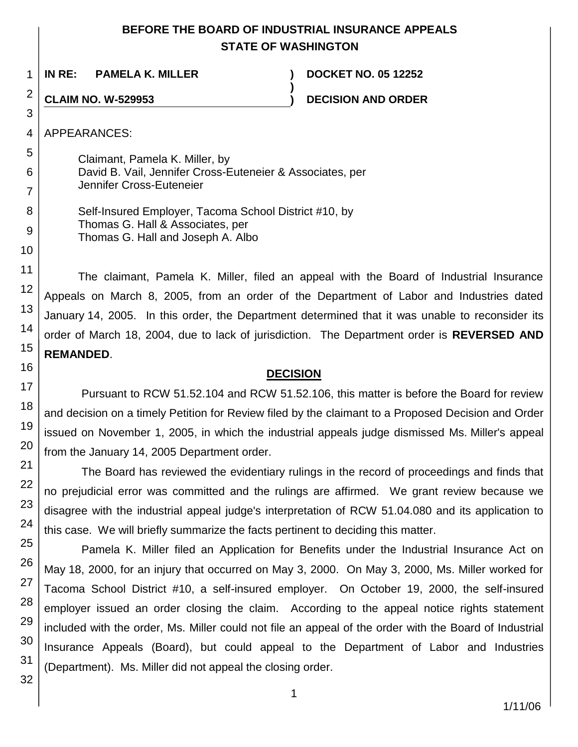# **BEFORE THE BOARD OF INDUSTRIAL INSURANCE APPEALS STATE OF WASHINGTON**

**)**

**IN RE: PAMELA K. MILLER ) DOCKET NO. 05 12252**

**CLAIM NO. W-529953 ) DECISION AND ORDER**

APPEARANCES:

Claimant, Pamela K. Miller, by David B. Vail, Jennifer Cross-Euteneier & Associates, per Jennifer Cross-Euteneier

Self-Insured Employer, Tacoma School District #10, by Thomas G. Hall & Associates, per Thomas G. Hall and Joseph A. Albo

The claimant, Pamela K. Miller, filed an appeal with the Board of Industrial Insurance Appeals on March 8, 2005, from an order of the Department of Labor and Industries dated January 14, 2005. In this order, the Department determined that it was unable to reconsider its order of March 18, 2004, due to lack of jurisdiction. The Department order is **REVERSED AND REMANDED**.

# **DECISION**

Pursuant to RCW 51.52.104 and RCW 51.52.106, this matter is before the Board for review and decision on a timely Petition for Review filed by the claimant to a Proposed Decision and Order issued on November 1, 2005, in which the industrial appeals judge dismissed Ms. Miller's appeal from the January 14, 2005 Department order.

The Board has reviewed the evidentiary rulings in the record of proceedings and finds that no prejudicial error was committed and the rulings are affirmed. We grant review because we disagree with the industrial appeal judge's interpretation of RCW 51.04.080 and its application to this case. We will briefly summarize the facts pertinent to deciding this matter.

Pamela K. Miller filed an Application for Benefits under the Industrial Insurance Act on May 18, 2000, for an injury that occurred on May 3, 2000. On May 3, 2000, Ms. Miller worked for Tacoma School District #10, a self-insured employer. On October 19, 2000, the self-insured employer issued an order closing the claim. According to the appeal notice rights statement included with the order, Ms. Miller could not file an appeal of the order with the Board of Industrial Insurance Appeals (Board), but could appeal to the Department of Labor and Industries (Department). Ms. Miller did not appeal the closing order.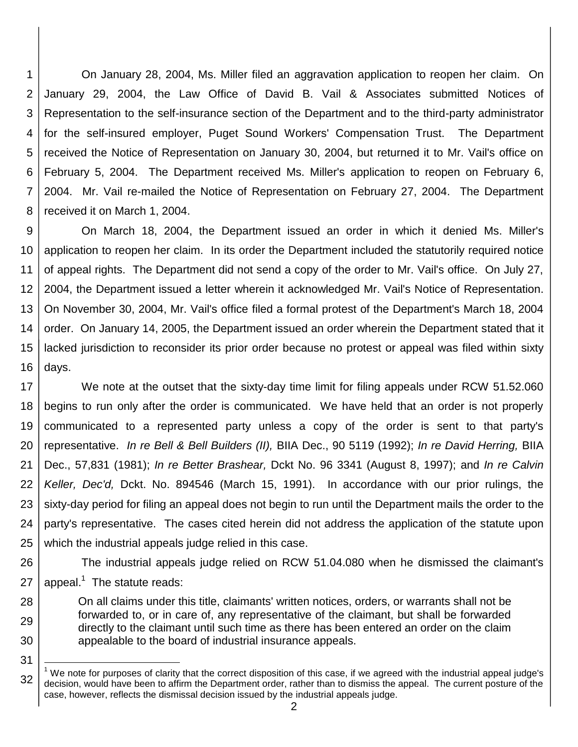1 2 3 4 5 6 7 8 On January 28, 2004, Ms. Miller filed an aggravation application to reopen her claim. On January 29, 2004, the Law Office of David B. Vail & Associates submitted Notices of Representation to the self-insurance section of the Department and to the third-party administrator for the self-insured employer, Puget Sound Workers' Compensation Trust. The Department received the Notice of Representation on January 30, 2004, but returned it to Mr. Vail's office on February 5, 2004. The Department received Ms. Miller's application to reopen on February 6, 2004. Mr. Vail re-mailed the Notice of Representation on February 27, 2004. The Department received it on March 1, 2004.

9 10 11 12 13 14 15 16 On March 18, 2004, the Department issued an order in which it denied Ms. Miller's application to reopen her claim. In its order the Department included the statutorily required notice of appeal rights. The Department did not send a copy of the order to Mr. Vail's office. On July 27, 2004, the Department issued a letter wherein it acknowledged Mr. Vail's Notice of Representation. On November 30, 2004, Mr. Vail's office filed a formal protest of the Department's March 18, 2004 order. On January 14, 2005, the Department issued an order wherein the Department stated that it lacked jurisdiction to reconsider its prior order because no protest or appeal was filed within sixty days.

17 18 19 20 21 22 23 24 25 We note at the outset that the sixty-day time limit for filing appeals under RCW 51.52.060 begins to run only after the order is communicated. We have held that an order is not properly communicated to a represented party unless a copy of the order is sent to that party's representative. *In re Bell & Bell Builders (II),* BIIA Dec., 90 5119 (1992); *In re David Herring,* BIIA Dec., 57,831 (1981); *In re Better Brashear,* Dckt No. 96 3341 (August 8, 1997); and *In re Calvin Keller, Dec'd,* Dckt. No. 894546 (March 15, 1991). In accordance with our prior rulings, the sixty-day period for filing an appeal does not begin to run until the Department mails the order to the party's representative. The cases cited herein did not address the application of the statute upon which the industrial appeals judge relied in this case.

26 27 The industrial appeals judge relied on RCW 51.04.080 when he dismissed the claimant's appeal. $1$  The statute reads:

28 29 30 On all claims under this title, claimants' written notices, orders, or warrants shall not be forwarded to, or in care of, any representative of the claimant, but shall be forwarded directly to the claimant until such time as there has been entered an order on the claim appealable to the board of industrial insurance appeals.

<sup>32</sup> l  $1$  We note for purposes of clarity that the correct disposition of this case, if we agreed with the industrial appeal judge's decision, would have been to affirm the Department order, rather than to dismiss the appeal. The current posture of the case, however, reflects the dismissal decision issued by the industrial appeals judge.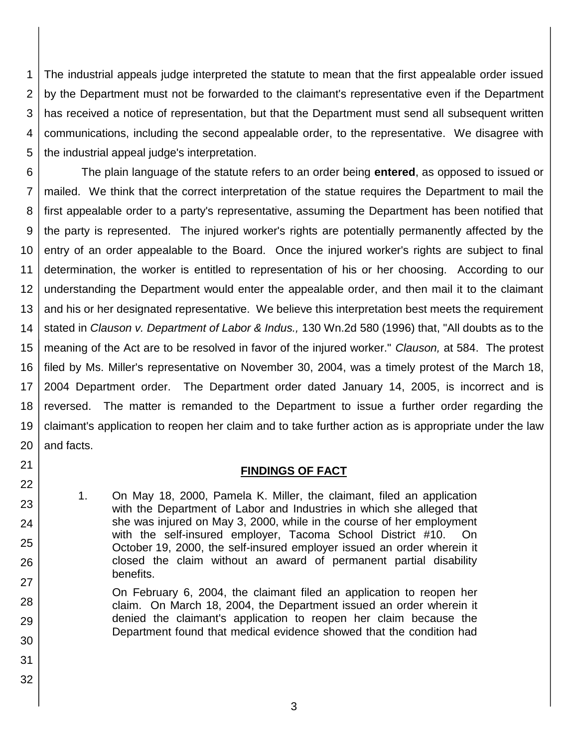1 2 3 4 5 The industrial appeals judge interpreted the statute to mean that the first appealable order issued by the Department must not be forwarded to the claimant's representative even if the Department has received a notice of representation, but that the Department must send all subsequent written communications, including the second appealable order, to the representative. We disagree with the industrial appeal judge's interpretation.

6 7 8 9 10 11 12 13 14 15 16 17 18 19 20 The plain language of the statute refers to an order being **entered**, as opposed to issued or mailed. We think that the correct interpretation of the statue requires the Department to mail the first appealable order to a party's representative, assuming the Department has been notified that the party is represented. The injured worker's rights are potentially permanently affected by the entry of an order appealable to the Board. Once the injured worker's rights are subject to final determination, the worker is entitled to representation of his or her choosing. According to our understanding the Department would enter the appealable order, and then mail it to the claimant and his or her designated representative. We believe this interpretation best meets the requirement stated in *Clauson v. Department of Labor & Indus.,* 130 Wn.2d 580 (1996) that, "All doubts as to the meaning of the Act are to be resolved in favor of the injured worker." *Clauson,* at 584. The protest filed by Ms. Miller's representative on November 30, 2004, was a timely protest of the March 18, 2004 Department order. The Department order dated January 14, 2005, is incorrect and is reversed. The matter is remanded to the Department to issue a further order regarding the claimant's application to reopen her claim and to take further action as is appropriate under the law and facts.

### **FINDINGS OF FACT**

1. On May 18, 2000, Pamela K. Miller, the claimant, filed an application with the Department of Labor and Industries in which she alleged that she was injured on May 3, 2000, while in the course of her employment with the self-insured employer, Tacoma School District #10. On October 19, 2000, the self-insured employer issued an order wherein it closed the claim without an award of permanent partial disability benefits.

On February 6, 2004, the claimant filed an application to reopen her claim. On March 18, 2004, the Department issued an order wherein it denied the claimant's application to reopen her claim because the Department found that medical evidence showed that the condition had

32

21

22

23

24

25

26

27

28

29

30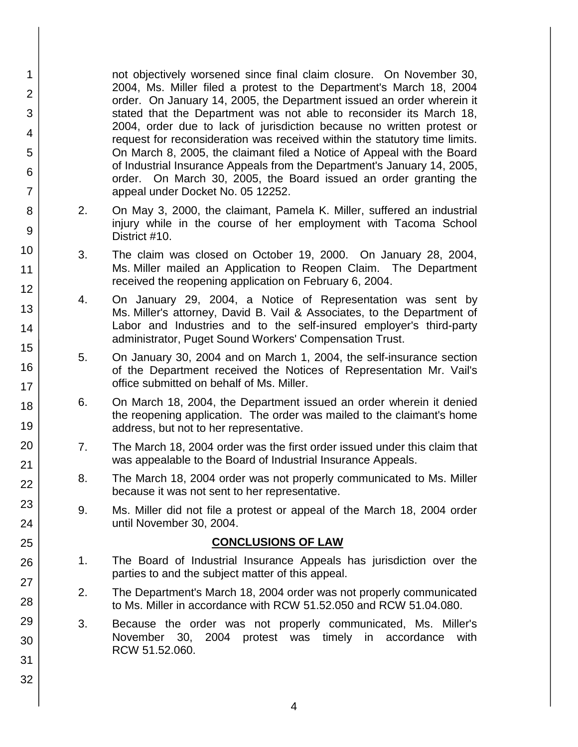not objectively worsened since final claim closure. On November 30, 2004, Ms. Miller filed a protest to the Department's March 18, 2004 order. On January 14, 2005, the Department issued an order wherein it stated that the Department was not able to reconsider its March 18, 2004, order due to lack of jurisdiction because no written protest or request for reconsideration was received within the statutory time limits. On March 8, 2005, the claimant filed a Notice of Appeal with the Board of Industrial Insurance Appeals from the Department's January 14, 2005, order. On March 30, 2005, the Board issued an order granting the appeal under Docket No. 05 12252.

- 2. On May 3, 2000, the claimant, Pamela K. Miller, suffered an industrial injury while in the course of her employment with Tacoma School District #10.
- 3. The claim was closed on October 19, 2000. On January 28, 2004, Ms. Miller mailed an Application to Reopen Claim. The Department received the reopening application on February 6, 2004.
- 4. On January 29, 2004, a Notice of Representation was sent by Ms. Miller's attorney, David B. Vail & Associates, to the Department of Labor and Industries and to the self-insured employer's third-party administrator, Puget Sound Workers' Compensation Trust.
- 5. On January 30, 2004 and on March 1, 2004, the self-insurance section of the Department received the Notices of Representation Mr. Vail's office submitted on behalf of Ms. Miller.
- 6. On March 18, 2004, the Department issued an order wherein it denied the reopening application. The order was mailed to the claimant's home address, but not to her representative.
- 7. The March 18, 2004 order was the first order issued under this claim that was appealable to the Board of Industrial Insurance Appeals.
- 8. The March 18, 2004 order was not properly communicated to Ms. Miller because it was not sent to her representative.
- 9. Ms. Miller did not file a protest or appeal of the March 18, 2004 order until November 30, 2004.

### **CONCLUSIONS OF LAW**

- 1. The Board of Industrial Insurance Appeals has jurisdiction over the parties to and the subject matter of this appeal.
- 2. The Department's March 18, 2004 order was not properly communicated to Ms. Miller in accordance with RCW 51.52.050 and RCW 51.04.080.
- 3. Because the order was not properly communicated, Ms. Miller's November 30, 2004 protest was timely in accordance with RCW 51.52.060.
- 10 11 12 13 14 15 16 17 18 19 20 21 22 23 24 25 26 27 28 29 30 31 32

1

2

3

4

5

6

7

8